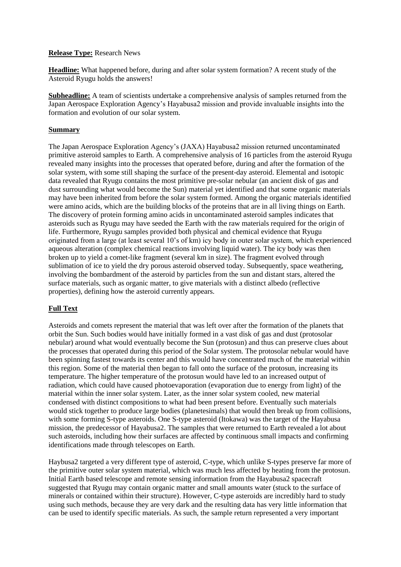#### **Release Type:** Research News

**Headline:** What happened before, during and after solar system formation? A recent study of the Asteroid Ryugu holds the answers!

**Subheadline:** A team of scientists undertake a comprehensive analysis of samples returned from the Japan Aerospace Exploration Agency's Hayabusa2 mission and provide invaluable insights into the formation and evolution of our solar system.

#### **Summary**

The Japan Aerospace Exploration Agency's (JAXA) Hayabusa2 mission returned uncontaminated primitive asteroid samples to Earth. A comprehensive analysis of 16 particles from the asteroid Ryugu revealed many insights into the processes that operated before, during and after the formation of the solar system, with some still shaping the surface of the present-day asteroid. Elemental and isotopic data revealed that Ryugu contains the most primitive pre-solar nebular (an ancient disk of gas and dust surrounding what would become the Sun) material yet identified and that some organic materials may have been inherited from before the solar system formed. Among the organic materials identified were amino acids, which are the building blocks of the proteins that are in all living things on Earth. The discovery of protein forming amino acids in uncontaminated asteroid samples indicates that asteroids such as Ryugu may have seeded the Earth with the raw materials required for the origin of life. Furthermore, Ryugu samples provided both physical and chemical evidence that Ryugu originated from a large (at least several 10's of km) icy body in outer solar system, which experienced aqueous alteration (complex chemical reactions involving liquid water). The icy body was then broken up to yield a comet-like fragment (several km in size). The fragment evolved through sublimation of ice to yield the dry porous asteroid observed today. Subsequently, space weathering, involving the bombardment of the asteroid by particles from the sun and distant stars, altered the surface materials, such as organic matter, to give materials with a distinct albedo (reflective properties), defining how the asteroid currently appears.

### **Full Text**

Asteroids and comets represent the material that was left over after the formation of the planets that orbit the Sun. Such bodies would have initially formed in a vast disk of gas and dust (protosolar nebular) around what would eventually become the Sun (protosun) and thus can preserve clues about the processes that operated during this period of the Solar system. The protosolar nebular would have been spinning fastest towards its center and this would have concentrated much of the material within this region. Some of the material then began to fall onto the surface of the protosun, increasing its temperature. The higher temperature of the protosun would have led to an increased output of radiation, which could have caused photoevaporation (evaporation due to energy from light) of the material within the inner solar system. Later, as the inner solar system cooled, new material condensed with distinct compositions to what had been present before. Eventually such materials would stick together to produce large bodies (planetesimals) that would then break up from collisions, with some forming S-type asteroids. One S-type asteroid (Itokawa) was the target of the Hayabusa mission, the predecessor of Hayabusa2. The samples that were returned to Earth revealed a lot about such asteroids, including how their surfaces are affected by continuous small impacts and confirming identifications made through telescopes on Earth.

Haybusa2 targeted a very different type of asteroid, C-type, which unlike S-types preserve far more of the primitive outer solar system material, which was much less affected by heating from the protosun. Initial Earth based telescope and remote sensing information from the Hayabusa2 spacecraft suggested that Ryugu may contain organic matter and small amounts water (stuck to the surface of minerals or contained within their structure). However, C-type asteroids are incredibly hard to study using such methods, because they are very dark and the resulting data has very little information that can be used to identify specific materials. As such, the sample return represented a very important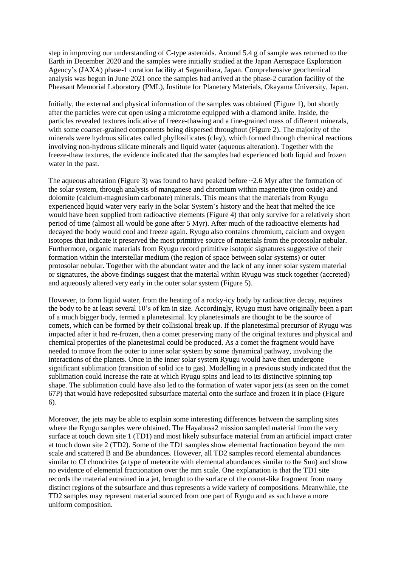step in improving our understanding of C-type asteroids. Around 5.4 g of sample was returned to the Earth in December 2020 and the samples were initially studied at the Japan Aerospace Exploration Agency's (JAXA) phase-1 curation facility at Sagamihara, Japan. Comprehensive geochemical analysis was begun in June 2021 once the samples had arrived at the phase-2 curation facility of the Pheasant Memorial Laboratory (PML), Institute for Planetary Materials, Okayama University, Japan.

Initially, the external and physical information of the samples was obtained (Figure 1), but shortly after the particles were cut open using a microtome equipped with a diamond knife. Inside, the particles revealed textures indicative of freeze-thawing and a fine-grained mass of different minerals, with some coarser-grained components being dispersed throughout (Figure 2). The majority of the minerals were hydrous silicates called phyllosilicates (clay), which formed through chemical reactions involving non-hydrous silicate minerals and liquid water (aqueous alteration). Together with the freeze-thaw textures, the evidence indicated that the samples had experienced both liquid and frozen water in the past.

The aqueous alteration (Figure 3) was found to have peaked before  $\sim$  2.6 Myr after the formation of the solar system, through analysis of manganese and chromium within magnetite (iron oxide) and dolomite (calcium-magnesium carbonate) minerals. This means that the materials from Ryugu experienced liquid water very early in the Solar System's history and the heat that melted the ice would have been supplied from radioactive elements (Figure 4) that only survive for a relatively short period of time (almost all would be gone after 5 Myr). After much of the radioactive elements had decayed the body would cool and freeze again. Ryugu also contains chromium, calcium and oxygen isotopes that indicate it preserved the most primitive source of materials from the protosolar nebular. Furthermore, organic materials from Ryugu record primitive isotopic signatures suggestive of their formation within the interstellar medium (the region of space between solar systems) or outer protosolar nebular. Together with the abundant water and the lack of any inner solar system material or signatures, the above findings suggest that the material within Ryugu was stuck together (accreted) and aqueously altered very early in the outer solar system (Figure 5).

However, to form liquid water, from the heating of a rocky-icy body by radioactive decay, requires the body to be at least several 10's of km in size. Accordingly, Ryugu must have originally been a part of a much bigger body, termed a planetesimal. Icy planetesimals are thought to be the source of comets, which can be formed by their collisional break up. If the planetesimal precursor of Ryugu was impacted after it had re-frozen, then a comet preserving many of the original textures and physical and chemical properties of the planetesimal could be produced. As a comet the fragment would have needed to move from the outer to inner solar system by some dynamical pathway, involving the interactions of the planets. Once in the inner solar system Ryugu would have then undergone significant sublimation (transition of solid ice to gas). Modelling in a previous study indicated that the sublimation could increase the rate at which Ryugu spins and lead to its distinctive spinning top shape. The sublimation could have also led to the formation of water vapor jets (as seen on the comet 67P) that would have redeposited subsurface material onto the surface and frozen it in place (Figure 6).

Moreover, the jets may be able to explain some interesting differences between the sampling sites where the Ryugu samples were obtained. The Hayabusa2 mission sampled material from the very surface at touch down site 1 (TD1) and most likely subsurface material from an artificial impact crater at touch down site 2 (TD2). Some of the TD1 samples show elemental fractionation beyond the mm scale and scattered B and Be abundances. However, all TD2 samples record elemental abundances similar to CI chondrites (a type of meteorite with elemental abundances similar to the Sun) and show no evidence of elemental fractionation over the mm scale. One explanation is that the TD1 site records the material entrained in a jet, brought to the surface of the comet-like fragment from many distinct regions of the subsurface and thus represents a wide variety of compositions. Meanwhile, the TD2 samples may represent material sourced from one part of Ryugu and as such have a more uniform composition.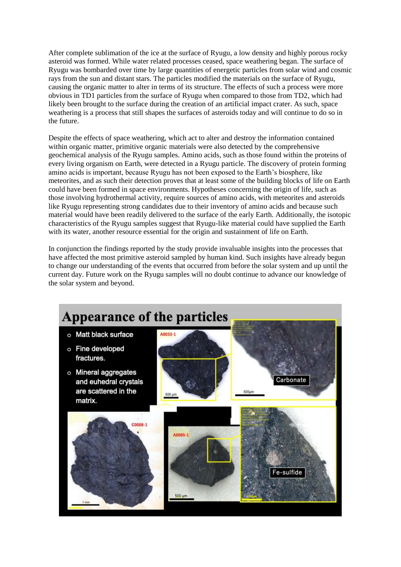After complete sublimation of the ice at the surface of Ryugu, a low density and highly porous rocky asteroid was formed. While water related processes ceased, space weathering began. The surface of Ryugu was bombarded over time by large quantities of energetic particles from solar wind and cosmic rays from the sun and distant stars. The particles modified the materials on the surface of Ryugu, causing the organic matter to alter in terms of its structure. The effects of such a process were more obvious in TD1 particles from the surface of Ryugu when compared to those from TD2, which had likely been brought to the surface during the creation of an artificial impact crater. As such, space weathering is a process that still shapes the surfaces of asteroids today and will continue to do so in the future.

Despite the effects of space weathering, which act to alter and destroy the information contained within organic matter, primitive organic materials were also detected by the comprehensive geochemical analysis of the Ryugu samples. Amino acids, such as those found within the proteins of every living organism on Earth, were detected in a Ryugu particle. The discovery of protein forming amino acids is important, because Ryugu has not been exposed to the Earth's biosphere, like meteorites, and as such their detection proves that at least some of the building blocks of life on Earth could have been formed in space environments. Hypotheses concerning the origin of life, such as those involving hydrothermal activity, require sources of amino acids, with meteorites and asteroids like Ryugu representing strong candidates due to their inventory of amino acids and because such material would have been readily delivered to the surface of the early Earth. Additionally, the isotopic characteristics of the Ryugu samples suggest that Ryugu-like material could have supplied the Earth with its water, another resource essential for the origin and sustainment of life on Earth.

In conjunction the findings reported by the study provide invaluable insights into the processes that have affected the most primitive asteroid sampled by human kind. Such insights have already begun to change our understanding of the events that occurred from before the solar system and up until the current day. Future work on the Ryugu samples will no doubt continue to advance our knowledge of the solar system and beyond.

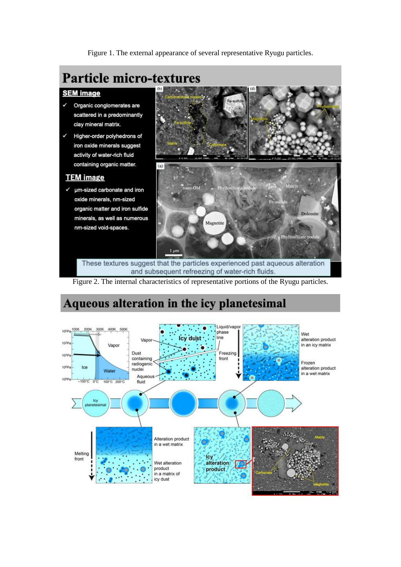Figure 1. The external appearance of several representative Ryugu particles.

# **Particle micro-textures**

## **SEM image**

- $\checkmark$ Organic conglomerates are scattered in a predominantly clay mineral matrix.
- Higher-order polyhedrons of iron oxide minerals suggest activity of water-rich fluid containing organic matter.

## **TEM** image

√ µm-sized carbonate and iron oxide minerals, nm-sized organic matter and iron sulfide minerals, as well as numerous nm-sized void-spaces.



These textures suggest that the particles experienced past aqueous alteration and subsequent refreezing of water-rich fluids.

Figure 2. The internal characteristics of representative portions of the Ryugu particles.

# Aqueous alteration in the icy planetesimal

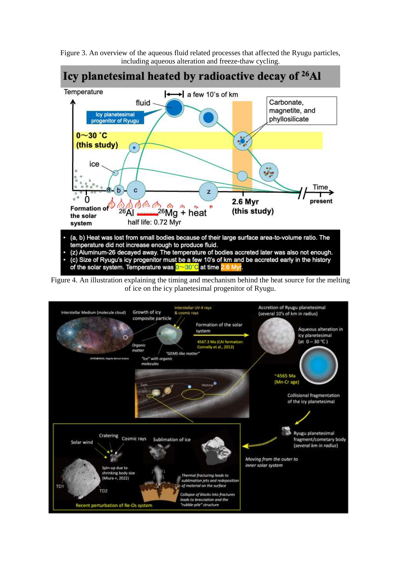



(c) Size of Ryugu's icy progenitor must be a few 10's of km and be accreted early in the history of the solar system. Temperature was 0~80°C at time

Figure 4. An illustration explaining the timing and mechanism behind the heat source for the melting of ice on the icy planetesimal progenitor of Ryugu.